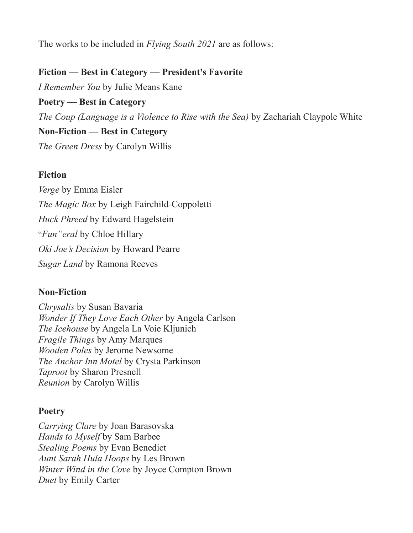The works to be included in *Flying South 2021* are as follows:

### **Fiction — Best in Category — President's Favorite**

*I Remember You* by Julie Means Kane

**Poetry — Best in Category**

*The Coup (Language is a Violence to Rise with the Sea)* by Zachariah Claypole White

#### **Non-Fiction — Best in Category**

*The Green Dress* by Carolyn Willis

## **Fiction**

*Verge* by Emma Eisler *The Magic Box* by Leigh Fairchild-Coppoletti *Huck Phreed* by Edward Hagelstein "*Fun"eral* by Chloe Hillary *Oki Joe's Decision* by Howard Pearre *Sugar Land* by Ramona Reeves

#### **Non-Fiction**

*Chrysalis* by Susan Bavaria *Wonder If They Love Each Other* by Angela Carlson *The Icehouse* by Angela La Voie Kljunich *Fragile Things* by Amy Marques *Wooden Poles* by Jerome Newsome *The Anchor Inn Motel* by Crysta Parkinson *Taproot* by Sharon Presnell *Reunion* by Carolyn Willis

# **Poetry**

*Carrying Clare* by Joan Barasovska *Hands to Myself* by Sam Barbee *Stealing Poems* by Evan Benedict *Aunt Sarah Hula Hoops* by Les Brown *Winter Wind in the Cove* by Joyce Compton Brown *Duet* by Emily Carter